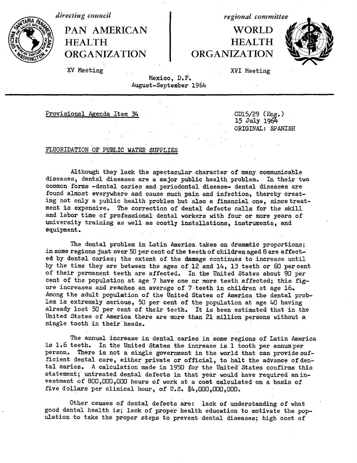*directing council*

PAN AMERICAN I WORLD HEALTH **HEALTH ORGANIZATION ORGANIZATION**

*regional committee*



XV Meeting XVI Meeting

Mexico, D.F. August-September 1964

Provisional Agenda Item 34 CD15/29 (Eng.)

15 July 1964 ORIGINAL: SPANISH

#### FLUORIDATION OF PUBLIC WATER SUPPLIES

Although they lack the spectacular character of many communicable diseases, dental diseases are a major public health problem. In their two common forms -dental caries and periodontal disease- dental diseases are found almost everywhere and cause much pain and infection, thereby creating not only a public health problem but also a financial one, since treatment is expensive. The correction of dental defects calls for the skill and labor time of professional dental workers with four or more years of university training as well as costly installations, instruments, and equipment.

The dental problem in Latin America takes on dramatic proportions; in some regions just over 50 per cent of the teeth of children aged 8 are affected by dental caries; the extent of the damage continues to increase until by the time they are between the ages of :12 and 14, 13 teeth or 60 percent of their permanent teeth are affected. In the United States about 90 per cent of the population at age 7 have one or more teeth affected; this figure increases and reaches an average of 7 teeth in children at age 16. Among the adult population of the United States of America the dental problem is extremely serious, 50 per cent of the population at age 40 having already lost 50 per cent of their teeth. It is been estimated that in the United States of America there are more than 21 million persons without a single tooth in their heads.

The annual increase in dental caries in some regions of Latin America is 1.6 teeth. In the United States the increase is 1 tooth per annumper person. There is not a single government in the world that can provide sufficient dental care, either private or official, to halt the advance of dental caries. A calculation made in 1950 for the United States confirms this statement; untreated dental defects in that year would have required aninvestment of 800,000,000 hours of work at a cost calculated on a basis of five dollars per clinical hour, of U.S. \$4,000,000,000.

Other causes of dental defects are: lack of understanding of what good dental health is; lack of proper health education to motivate the population to take the proper steps to prevent dental diseases; high cost of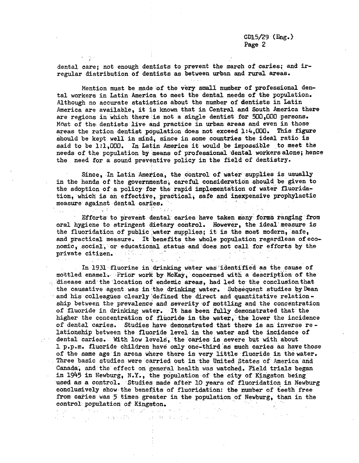dental care; not enough dentists to prevent the march of caries; and irregular distribution of dentists as between urban and rural areas.

Mention must be made of the very small number of professional dental workers in Latin America to meet the dental needs of the population. Although no accurate statistics about the number of dentists in Latin America are available, it is known that in Central and South America there are regions in which there is not a single dentist for 500,000 persons. Most of the dentists live and practice in urban areas and even in those areas the ration-dentist population does not exceed 1:4,000. This figure should be kept well in mind, since in some countries the ideal ratio is said to be 1:1,000. In Latin America it would be impossible to meet the needs of the population by means of professional dental workersalone; hence the need for a sound preventive policy in the field of dentistry.

Since, In Latin America, the control of water supplies is usually in the hands of the governments; careful consideration should be given to the adoption of a policy for the rapid implementation of water fluoridation, which is an effective, practical, safe and inexpensive prophylactic measure against dental caries.

 $1.5 - 1.5 = 4.1$ 

 $\Delta \sim 10^4$ 

 $\mathcal{O}(\mathcal{O}_\mathcal{O})$ 

Efforts to prevent dental caries have taken many forms ranging from oral hygiene to stringent dietary control. However, the ideal'measure is the fluoridation of public water supplies; it is the most modern, safe, and practical measure. It benefits the whole population regardless of economic, social, or educational status and does not call for efforts by the private citizen. The state of  $\sim 10^4$  $\tilde{Q}$  and  $\tilde{Q}$  and  $\tilde{Q}$  $\mathcal{A}_{\mathbf{z}}$  $\sqrt{2}$ 

In 1931 fluorine in drinking water was identified as the cause of mottled enamel.- Prior work by McKay, concerned with a description of the  $\ldots$  disease and the location of endemic areas, had led to the conclusion that the causative agent was in the drinking water. Subsequent studies by Dean and his colleagues clearly defined the direct and quantitative relationship between the prevalence and severity of mottling and the concentration of fluoride in drinking water. It has been fully demonstrated that' the higher the concentration of fluoride in the water, the lower the incidence of dental caries. Studies have demonstrated that there is an inverse relationship between the fluoride level in the water and the incidence of dental caries. With low levels, the caries is severe but with about 1 p.p.m. fluoride children have only one-third'as much caries as have those of the same age in areas where there is very little fluoride in the water. Three basic studies were carried out in the United States of America and Canada, and the effect on general health was watched. Field trials began in 1945 in Newburg, N.Y., the population of the city of Kingston being, used as a control. Studies made after 10 years of fluoridation in Newburg conclusively show the benefits of fluoridation: the number of teeth free from caries was 5 times greater in the population of Newburg, than in the control population of Kingston.

1963년 1월 20일 - 대한민국의 대한민국의 대한민국의 대한민국의 대한민국의 대한민국의 대한민국의 대한민국의 대한민국의 대한민국의 대한민국의 대한민국의 대한민국의 대한민국의 대한민국의 대한민국의<br>대한민국의 대한민국의 대한민국의 대한민국의 대한민국의 대한민국의 대한민국의 대한민국의 대한민국의 대한민국의 대한민국의 대한민국의 대한민국의 대한민국의 대한민국의 대한민국의 대한민국의 대한민국의 대한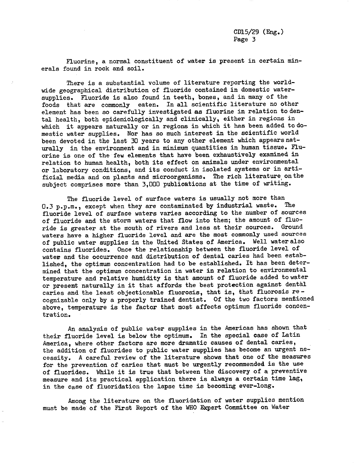Fluorine, a normal constituent of water is present in certain minerals found in rock and soil.

There is a substantial volume of literature reporting the worldwide geographical distribution of fluoride contained in domestic watersupplies. Fluoride is also found in teeth, bones, and in many of the foods that are commonly eaten. In all scientific literature no other element has been so carefully investigated as fluorine in relation to dental health, both epidemiologically and clinically, either in regions in which it appears naturally or in regions in which it has been added to domestic water supplies. Nor has so much interest in the scientific world been devoted in the last 30 years to any other element which appears naturally in the environment and in minimum quantities in human tissue. Fluorine is one of the few elements that have been exhaustively examined in relation to human health, both its effect on animals under environmental or laboratory conditions, and its conduct in isolated systems or in artificial media and on plants and microorganisms. The rich literature onthe subject comprises more than 3,000 publications at the time of writing.

The fluoride level of surface waters is usually not more than 0.3 p.p.m., except when they are contaminated by industrial waste. The fluoride level of surface waters varies according to the number of sources of fluoride and the storm waters that flow into them; the amount of fluoride is greater at the mouth of rivers and less at their sources. Ground waters have a higher fluoride level and are the most commonly used sources of public water supplies in the United States of America. Well water also contains fluorides. Once the relationship between the fluoride level of water and the occurrence and distribution of dental caries had been established, the optimum concentration had to be established. It has been determined that the optimum concentration in water in relation to environmental temperature and relative humidity is that amount of fluoride added to water or present naturally in it that affords the best protection against dental caries and the least objectionable fluorosis, that is, that fluorosis recognizable only by a properly trained dentist. Of the two factors mentioned above, temperature is the factor that most affects optimum fluoride concentration.

An analysis of public water supplies in the Americas has shown that their fluoride level is below the optimum. In the special case of Latin America, where other factors are more dramatic causes of dental caries, the addition of fluorides to public water supplies has become an urgent necessity. A careful review of the literature shows that one of the measures for the prevention of caries that must be urgently recommended is the use of fluorides. While it is true that between the discovery of a preventive measure and its practical application there is always a certain time lag, in the case of fluoridation the lapse time is becoming ever-long.

Among the literature on the fluoridation of water supplies mention must be made of the First Report of the WHO Expert Committee on Water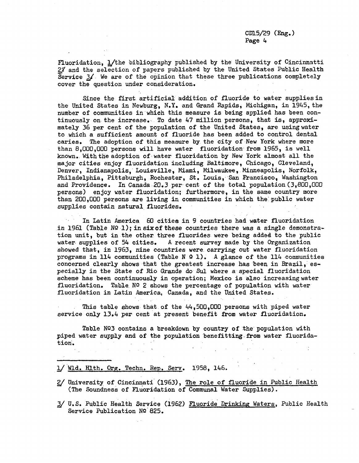Fluoridation, 1/the bibliography published by the University of Cincinnatti 2/ and the selection of papers published by the United States Public Health Service  $3/$ . We are of the opinion that these three publications completely cover the question under consideration.

Since the first artificial addition of fluoride to water supplies in the United States in Newburg, N.Y. and Grand Rapids, Michigan, in 1945, the number of communities in which this measure is being applied has been continuously on the increase. To date 47 million persons, that is, approximately 36 per cent of the population of the United States, are usingwater to which a sufficient amount of fluoride has been added to control dental caries. The adoption of this measure by the city of-New York where more than 8,000,000 persons will have water fluoridation from 1965, is well known. With the adoption of- water fluoridation by New York almost all the major cities enjoy fluoridation including Baltimore, Chicago, Cleveland, Denver, Indianapolis, Louisville, Miami, Milwaukee, Minneapolis, Norfolk, Philadelphia, Pittsburgh, Rochester, St. Louis, San Francisco, Washington and Providence. In Canada 20.3 per cent of the total population (3,800,000 persons) enjoy water fluoridation; furthermore, in the same country more than 200,000 persons are living in communities in which the public water supplies contain natural fluorides.

In Latin America 60 cities in 9 countries had water fluoridation in 1961 (Table  $N9$  1); in six of these countries there was a single demonstration unit, but in the other three fluorides were being added to the public water supplies of 54 cities. A recent survey made by the Organization showed that, in 1963, nine countries were carrying out water fluoridation programs in 114 communities (Table N  $\Omega$  1). A glance of the 114 communities concerned clearly shows that the greatest increase has been in Brazil,  $es$ pecially in the State of Rio Grande do Sul where a special fluoridation scheme has been continuously in operation; Mexico is also increasingwater fluoridation. Table  $NQ$  2 shows the percentage of population with water fluoridation in Latin America, Canada, and the United States.

This table shows that of the 44,500,000 persons with piped water service only 13.4 per cent at present benefit from water fluoridation.

Table  $N<sup>Q</sup>3$  contains a breakdown by country of the population with piped water supply and of the population benefitting-from water fluoridation.

- \_/ Wld. Hlth. Org. Techn. Rep. Serv. 1958, 146.
- 2/ University of Cincinnati (1963), The role of fluoride in Public Health (The Soundness of Fluoridation of Communal Water Supplies).
- 3/ U.S. Public Health Service (1962) Fluoride Drinking Waters, Public Health Service Publication Nº 825.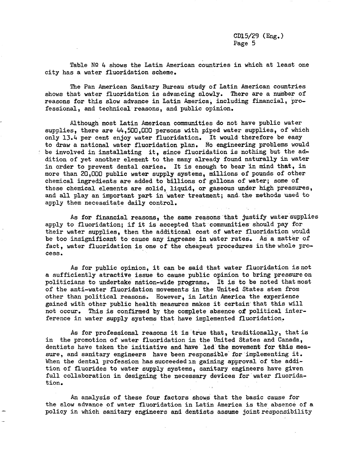Table  $N9$  4 shows the Latin American countries in which at least one city has a water fluoridation scheme.

The Pan American Sanitary Bureau study of Latin American countries shows that water fluoridation is advancing slowly. There are a number of reasons for this slow advance in Latin America, including financial, professional, and technical reasons, and public opinion.

Although most Latin American communities do not have public water supplies, there are 44,500,000 persons with piped water supplies, of which only 13.4 per cent enjoy water fluoridation. It would therefore be easy to draw a national water fluoridation plan. No engineering problems would be involved in installating it, since fluoridation is nothing but the addition of yet another element to the many already found naturally in water in order to prevent dental caries. It is enough to bear'in mind that, in more than 20,000 public water supply systems, millions of pounds of other chemical ingredients are added to billions of gallons of water; some of these chemical elements are solid, liquid, or gaseous under high pressures, and all play an important part in water treatment; and the methods used to apply them necessitate daily control.

As for financial reasons, the same reasons that justify water supplies apply to fluoridation; if it is accepted that communities should pay for their water supplies, then the additional cost of water fluoridation would be too insignificant to cause any ingrease in water rates. As a matter of fact, water fluoridation is one of the cheapest procedures in the whole process.

As for public opinion, it can be said that water fluoridation is not a sufficiently atractive issue to cause public opinion to bring pressure on politicians to undertake nation-wide programs. It is to be noted that most of the anti-water fluoridation movements in the United States stem from other than political reasons. However, in Latin America the experience gained with other public health measures makes it certain that this will not occur. This is confirmed by the complete absence of political interference in water supply systems that have implemented fluoridation.

As for professional reasons it is true that, traditionally, that is in the promotion of water fluoridation in the United States and Canada, dentists have taken the initiative and have led'the movement for this measure, and sanitary engineers have been responsible for implementing it. When the dental profession has succeeded in gaining approval of the addition of fluorides to water supply systems, sanitary engineers have given full collaboration in designing the necessary devices for water fluoridation.

An analysis of these four factors shows that the basic cause for the slow advance of water fluoridation in Latin America is the absence of a policy in which sanitary engineers and dentists assume joint responsibility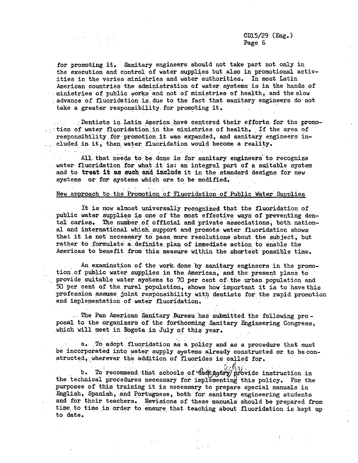$\mathbf{Y} = \{x_i, y_i\}$  .

for promoting it. Sanitary engineers should not take part not only in the execution and control of water supplies but also in promotional activities in the varies ministries and water authorities. In most Latin American countries-the administration of water systems is in the hands of ministries of public works and not of ministries of health, and the slow advance of fluoridation is: due to the fact that sanitary engineers do not take a greater responsibility for promoting it.

... Dentists in- Latin America have centered their efforts.for the promo-  $\cdot$  tion of water fluoridation in the ministries of health. If the area of responsibility for promotion it was expanded, and sanitary engineers in-... cluded in it, then water fluoridation would become a reality.

All that needs to be done is for sanitary engineers to recognize water fluoridation for what it is: an integral part of a suitable system and to treat it as such and include it in the standard designs for new systems or for systems which are to be modified.

#### New approach to the Promotion of Fluoridation of Public Water Supplies

It is now almost universally recognized that the fluoridation of public water supplies is one of the most effective ways of preventing dental caries. The number of official and private associations, both national and international which, support and promote, water fluoridation shows that it is not necessary to pass more resolutions about the subject, but rather to formulate a definite plan of immediate action to enable the Americas to benefit from this measure within the shortest possible time.

 $\sigma_{\rm c} \sim \rho_{\rm c}$ An examination of the work done by sanitary engineers in the promotion of public water supplies in the Americas. and the present plans to provide suitable water systems to  $70$  per cent of the urban population and 50 per cent of the rural population, shows how important it is to have this profession assume joint responsibility with dentists for the rapid promotion and implementation of water fluoridation.

. The Pan American Sanitary Bureau has submitted the following proposal to the organizers of' the forthcoming Sanitary Engineering Congress, which will meet in Bogota in July of this year.

a. To adopt fluoridation as a policy and as a procedure that must be incorporated into water supply systems already constructed or to be constructed, wherever. the addition of fluorides is called for.

b. To recommend that schools of dentistry provide instruction in the technical procedures necessary for implementing this policy. For the purposes of this training it is necessary to prepare special manuals in English, Spanish, and Portuguese, both for sanitary engineering students and for their teachers. Revisions of these manuals should be prepared from time to time in order to ensure that teaching about fluoridation is kept up to date.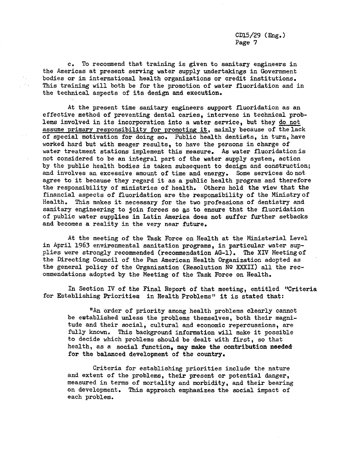c. To recommend that training is given to sanitary engineers in the Americas at present serving water supply undertakings in Government bodies or in international health organizations or credit institutions. This training will both be for the promotion of water fluoridation and in the technical aspects of its design and execution.

 $\epsilon_{\rm in}$  $\sim$   $\sim$ 

> At the present time sanitary engineers support fluoridation as an effective method of preventing dental caries, intervene in technical problems involved in its incorporation into a water service, but they do not assume primary responsibility for promoting it, mainly because of the lack of special motivation for doing so. Public health dentists, in turn, have worked hard but with meager results, to have the persons in charge of water treatment stations implement this measure. As water fluoridationis not considered to be an integral part of the water supply system, action by the public health bodies is taken subsequent to design and construction; and involves an excessive amount of time and energy. Some services do not agree to it because they regard it as a public health program and therefore the responsibility of ministries of health. Others hold the view that the financial aspects of fluoridation are the responsibility of the Ministryof Health, This makes it necessary for the two professions of dentistry and sanitary engineering to join forces so as to ensure that the fluoridation of public water supplies in Latin America does not suffer further setbacks and becomes a reality in the very near future.

At the meeting of the Task Force on Health at the Ministerial Level in April 1963 envirenmental sanitation programs, in particular water supplies were strongly recommended (recommendation AG-1). The XIV Meetingof the Directing Council of the Pan American Health Organization adopted as the general policy of the Organization (Resolution Nº XXXII) all the recommendations adopted by the Meeting of the Task Force on Health.

In Section IV of the Final Report of that meeting, entitled "Criteria for Establishing Priorities in Health Problems" it is stated that:

"An order of priority among health problems clearly cannot be established unless the problems themselves, both their magnitude and their social, cultural and economic repercussions, are fully known. This background information will make it possible to decide which problems should be dealt with first, so that health, as a social function, may make the contribution **needed** for the balanced development of the country.

Criteria for establishing priorities include the nature and extent of the problems, their present or potential danger, measured in terms of mortality and morbidity, and their bearing on development. This approach emphasizes the social impact of each problem.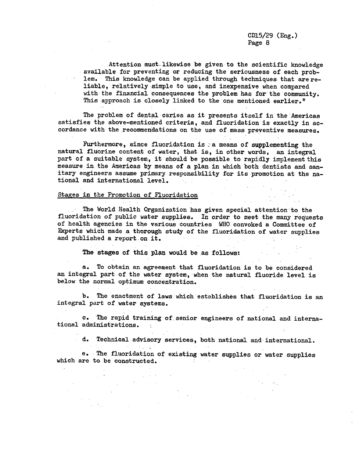TV Sept  $\sim 10^{11}$ 

Attention must.likewise be given to the scientific knowledge available for preventing or reducing the seriousness of each problem. This knowledge can be applied through techniques that are reliable, relatively simple to use, and inexpensive when compared with the financial consequences the problem has for the community. This approach is closely linked to the one mentioned earlier."

The problem of dental caries as it presents itself in the Americas satisfies the above-mentioned criteria, and fluoridation is exactly in accordance with the recommendations on the use of mass preventive measures.

Furthermore, since fluoridation is  $\alpha$  means of supplementing the natural fluorine content of water, that is, in other words, an integral part of a suitable system, it should be possible to rapidly implement this measure in the Americas by means of a plan in which both dentists and sanitary engineers assume primary responsibility for its promotion at the national and international level.  $\mathcal{O}(\mathcal{O}_\mathcal{A})$  .

#### Stages in the Promotion of Fluoridation  $\sim 100$  km s  $^{-1}$  .

 $\alpha = \frac{1}{2} \alpha$ 

The World Health Organization has given special attention to the fluoridation of public water supplies. In order to meet the many requests of health agencies in the various countries WHO convoked a Committee of Experts which made a thorough study of the fluoridation of water supplies and published a report on it.

The stages of this plan would be as follows:

a. To obtain an agreement that fluoridation is to be considered an integral part of the water system, when the natural fluoride level is below the normal optimum concentration.

b. The enactment of laws which establishes that fluoridation is an integral part of water systems.

c. The rapid training of.senior engineers of national and international administrations.

d. Technical advisory services, both national and international.

e. The fluoridation of existing water supplies or water supplies which are to be constructed.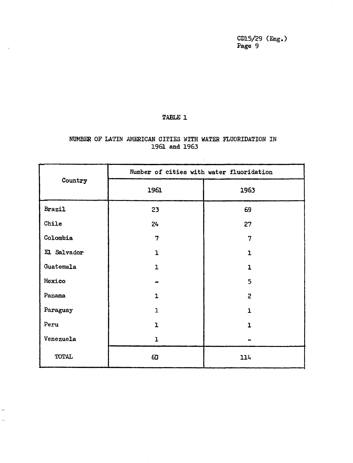$\hat{\mathcal{A}}$ 

# TABLE 1

 $\hat{\mathcal{A}}$ 

 $\frac{1}{2}$  $\overline{\phantom{0}}$ 

## NUMBER OF LATIN AMERICAN CITIES WITH WATER FLUORIDATION IN 1961 and 1963

 $\sim$   $\omega$ 

|              | Number of cities with water fluoridation |                |  |  |  |
|--------------|------------------------------------------|----------------|--|--|--|
| Country      | 1961                                     | 1963           |  |  |  |
| Brazil       | 23                                       | 69             |  |  |  |
| Chile        | 24                                       | 27             |  |  |  |
| Colombia     | 7                                        | 7              |  |  |  |
| El Salvador  | $\mathbf{1}$                             | 1              |  |  |  |
| Guatemala    | $\overline{1}$                           | $\overline{1}$ |  |  |  |
| Mexico       |                                          | 5              |  |  |  |
| Panama       | $\mathbf{1}$                             | $\overline{2}$ |  |  |  |
| Paraguay     | $\mathbf{I}$                             | ı              |  |  |  |
| Peru         | ı                                        | 1.             |  |  |  |
| Venezuela    | $\mathbf{I}$                             |                |  |  |  |
| <b>TOTAL</b> | 60                                       | 114            |  |  |  |

 $\sim$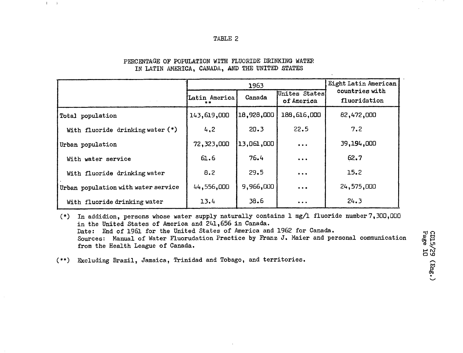#### TABLE 2

|                                     |                     | 1963       | Eight Latin American        |                                |  |
|-------------------------------------|---------------------|------------|-----------------------------|--------------------------------|--|
|                                     | Latin America<br>** | Canada     | Unites States<br>of America | countries with<br>fluoridation |  |
| Total population                    | 143,619,000         | 18,928,000 | 188,616,000                 | 82,472,000                     |  |
| With fluoride drinking water (*)    | 4,2                 | 20.3       | 22.5                        | 7.2                            |  |
| Urban population                    | 72,323,000          | 13,061,000 | $\bullet\bullet\bullet$     | 39,194,000                     |  |
| With water service                  | 61.6                | 76.4       | $\cdots$                    | 62.7                           |  |
| With fluoride drinking water        | 8.2                 | 29.5       | $\cdots$                    | 15.2                           |  |
| Urban population with water service | 44,556,000          | 9,966,000  | $\bullet\bullet\bullet$     | 24,575,000                     |  |
| With fluoride drinking water        | 13.4                | 38.6       | $\cdots$                    | 24.3                           |  |

#### PERCENTAGE OF POPULATION WITH FLUORIDE DRINKING WATER IN LATIN AMERICA, CANADA, AND THE UNITED STATES

 $1 - 1$ 

(\*) In addidion, persons whose water supply naturally contains 1 mg/1 fluoride number7,300,000 in the United States of America and 241,656 in Canada. Date: End of 1961 for the United States of America and 1962 for Canada. Sources: Manual of Water Fluorudation Practice by Franz J. Maier and personal communication from the Health League of Canada.

(\*\*) Excluding Brazil, Jamaica, Trinidad and Tobago, and territories.

**rtio (D U**  $H\omega$ **1.W**pq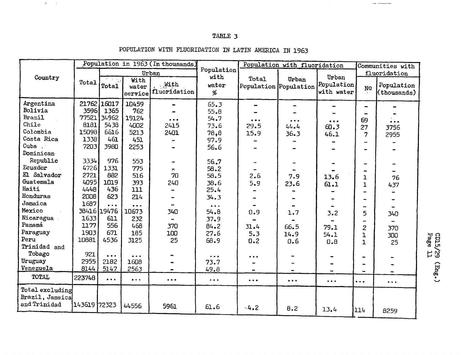# TABLE 3

|                                                    |              | Population in 1963 (In thousands)<br>Urban |                               |                              |                               | Population with fluoridation   |                         |                                   | Communities with              |                               |
|----------------------------------------------------|--------------|--------------------------------------------|-------------------------------|------------------------------|-------------------------------|--------------------------------|-------------------------|-----------------------------------|-------------------------------|-------------------------------|
|                                                    |              |                                            |                               |                              | Population                    |                                |                         |                                   | fluoridation                  |                               |
| Country                                            | Total        | Total                                      | With<br>water<br>service      | With<br>fluoridation         | with<br>water<br>%            | Total<br>Population Population | Urban                   | Urban<br>Population<br>with water | NQ                            | Population<br>(thousands)     |
| Argentina                                          |              | 21762 16017                                | 10459                         |                              | 65.3                          | -                              |                         |                                   |                               |                               |
| Bolivia                                            | 35961        | 1365                                       | 762                           |                              | 55.8                          |                                |                         |                                   |                               |                               |
| Brazil                                             | 77521        | 34962                                      | 19124                         | $\bullet\bullet\bullet$      | 54.7                          | $\bullet\bullet\bullet$        | $\bullet\bullet\bullet$ | $\bullet\bullet\bullet$           | 69                            | $\ddotsc$                     |
| Chile                                              | 8181         | 5438                                       | 4002                          | 2415                         | 73.6                          | 29.5                           | 44.4                    | 60.3                              | 27                            | 3756                          |
| Colombia                                           | 15098        | 6616                                       | 5213                          | 2401                         | 78,8                          | 15.9                           | 36.3                    | 46.1                              | 7                             | 2955                          |
| Costa Rica                                         | 1338         | 461                                        | 451                           |                              | 97.9                          |                                |                         |                                   |                               |                               |
| Cuba .                                             | 7203         | 3980                                       | 2253                          |                              | 56.6                          |                                |                         |                                   |                               |                               |
| Dominican                                          |              |                                            |                               |                              |                               |                                |                         |                                   |                               |                               |
| Republic                                           | 3334         | 976                                        | 553                           |                              | 56.7                          |                                |                         |                                   |                               |                               |
| Ecuador                                            | 4726         | 1331                                       | 775                           | $\blacksquare$               | 58.2                          |                                |                         |                                   |                               |                               |
| El Salvador                                        | 2721         | 882                                        | 516                           | 70                           | 58.5                          | 2.6                            | 7.9                     | 13.6                              | ı                             | 76                            |
| Guatemala                                          | 4095         | 1019                                       | 393                           | 240                          | 38.6                          | 5.9                            | 23.6                    | 61.1                              | 1                             | 437                           |
| Haiti                                              | 4448         | 436                                        | 111                           |                              | 25.4                          |                                |                         |                                   | -                             |                               |
| Honduras                                           | 2008         | 623                                        | 214                           |                              | 34.3                          |                                |                         |                                   |                               |                               |
| Jamaica                                            | 1687         | .                                          | .                             | $\rightarrow$                | $\cdots$                      |                                |                         | $\bullet$                         | ш,                            |                               |
| Mexico                                             |              | 38416 19476                                | 10673                         | 340                          | 54.8                          | 0.9                            | 1.7                     | 3.2                               | 5                             | 340                           |
| Nicaragua                                          | 1633         | 611                                        | 232                           | $\qquad \qquad \blacksquare$ | 37.9                          |                                |                         |                                   |                               |                               |
| Panamá                                             | 1177         | 556                                        | 468                           | 370                          | 84.2                          | 31.4                           | 66.5                    | 79.1                              | 2                             | 370                           |
| Paraguay                                           | 1903         | 671                                        | 185                           | 100                          | 27.6                          | 5.3                            | 14.9                    | 54.1                              | $\mathbf{I}$                  | 300                           |
| Peru                                               | 10881        | 4536                                       | 3125                          | 25                           | 68.9                          | 0.2                            | 0.6                     | 0.8                               | $\overline{1}$                | 25                            |
| Trinidad and                                       |              |                                            |                               |                              |                               |                                |                         |                                   |                               |                               |
| Tobago                                             | 921          | $\cdots$                                   | $\ddot{\bullet}$              |                              | $\bullet$ $\bullet$ $\bullet$ | $\bullet\bullet\bullet$        |                         |                                   |                               |                               |
| Uruguay                                            | 2955         | 2182                                       | 1608                          |                              | 73.7                          |                                |                         |                                   | $\overline{\phantom{0}}$      |                               |
| Venezuela                                          | 8144         | 5147                                       | 2563                          | $\blacksquare$               | 49.8                          |                                |                         |                                   | $\overline{\phantom{0}}$      |                               |
| TOTAL                                              | 223748       | $\ddotsc$                                  | $\bullet$ $\bullet$ $\bullet$ |                              | $\bullet\bullet\bullet$       |                                | $\bullet\bullet\bullet$ | $\bullet\bullet\bullet$           | $\bullet$ $\bullet$ $\bullet$ | $\bullet$ $\bullet$ $\bullet$ |
| Total excluding<br>Brazil, Jamaica<br>and Trinidad | 143619 72323 |                                            |                               |                              |                               |                                |                         |                                   |                               |                               |
|                                                    |              |                                            | 44556                         | 5961                         | 61.6                          | 4.2                            | 8.2                     | 13.4                              | 114                           | 8259                          |

# POPULATION WITH FLUORIDATION IN LATIN AMERICA IN 1963

 $\sim 10^{-1}$  . The

~d **o 0 Ul** (D < I N *He*

က်<br>-<br>—

~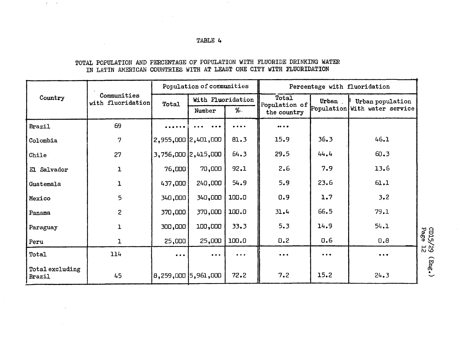#### TABLE 4

 $\sim$ 

 $A_{\rm{max}}=10$ 

 $\sim$ 

 $\sim 10^{-1}$ 

 $\sim$   $\sim$ 

#### TOTAL POPULATION AND PERCENTAGE OF POPULATION WITH FLUORIDE DRINKING WATER IN LATIN AMERICAN COUNTRIES WITH AT LEAST ONE CITY WITH FLUORIDATION

| Country                   | Communities<br>with fluoridation | Population of communities |                                                                           |          | Percentage with fluoridation   |                               |                               |  |
|---------------------------|----------------------------------|---------------------------|---------------------------------------------------------------------------|----------|--------------------------------|-------------------------------|-------------------------------|--|
|                           |                                  | Total                     | With Fluoridation                                                         |          | Total<br>Population of         | Urban.                        | Urban population              |  |
|                           |                                  |                           | Number                                                                    | %∴       | the country                    |                               | Population With water service |  |
| Brazil                    | 69                               |                           | <br>.                                                                     |          | $\bullet\bullet\bullet\bullet$ |                               |                               |  |
| Colombia                  | 7                                | 2,955,000 2,401,000       |                                                                           | 81.3     | 15.9                           | 36.3                          | 46.1                          |  |
| Chile                     | 27                               |                           | 3,756,000 2,415,000                                                       | 64.3     | 29.5                           | 44.4                          | 60.3                          |  |
| El Salvador               | $\mathbf{1}$                     | 76,000                    | 70,000                                                                    | 92.1     | 2.6                            | 7.9                           | 13.6                          |  |
| Guatemala                 | $\mathbf{1}$                     | 437,000                   | 240,000                                                                   | 54.9     | 5.9                            | 23.6                          | 61.1                          |  |
| Mexico                    | 5                                | 340,000                   | 340,000                                                                   | 100.0    | 0.9                            | 1.7                           | 3.2                           |  |
| Panama                    | $\overline{2}$                   | 370,000                   | 370,000                                                                   | 100.0    | 31.4                           | 66.5                          | 79.1                          |  |
| Paraguay                  | 1                                | 300,000                   | 100,000                                                                   | 33.3     | 5.3                            | 14.9                          | 54.1                          |  |
| Peru                      | ı                                | 25,000                    | 25,000                                                                    | 100.0    | 0.2                            | 0.6                           | 0.8                           |  |
| Total                     | 114                              | $\bullet\bullet\bullet$   | $\bullet\hspace{0.1cm} \bullet\hspace{0.1cm}\bullet\hspace{0.1cm}\bullet$ | $\cdots$ | $\bullet$ $\bullet$ $\bullet$  | $\bullet$ $\bullet$ $\bullet$ | $\bullet\bullet\bullet$       |  |
| Total excluding<br>Brazil | 45                               | 8,259,000  5,961,000      |                                                                           | 72.2     | 7.2                            | 15.2                          | 24.3                          |  |

 $\tilde{\mathcal{P}}$ 

 $\sim$   $\sim$ 

**g0 -a1**